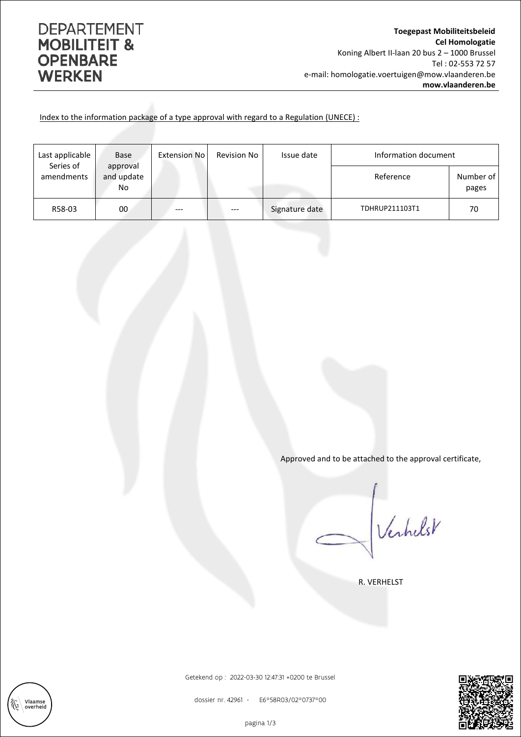## **DEPARTEMENT MOBILITEIT & OPENBARE WERKEN**

Index to the information package of a type approval with regard to a Regulation (UNECE) :

| Last applicable<br>Series of | <b>Base</b>                  | <b>Extension No</b> | Revision No | Issue date     | Information document |                    |
|------------------------------|------------------------------|---------------------|-------------|----------------|----------------------|--------------------|
| amendments                   | approval<br>and update<br>No |                     |             |                | Reference            | Number of<br>pages |
| R58-03                       | 00                           | ---                 | ---         | Signature date | TDHRUP211103T1       | 70                 |

Approved and to be attached to the approval certificate,

Verhelst

R. VERHELST



dossier nr. 42961 - E6\*58R03/02\*0737\*00

Getekend op : 2022-03-30 12:47:31 +0200 te Brussel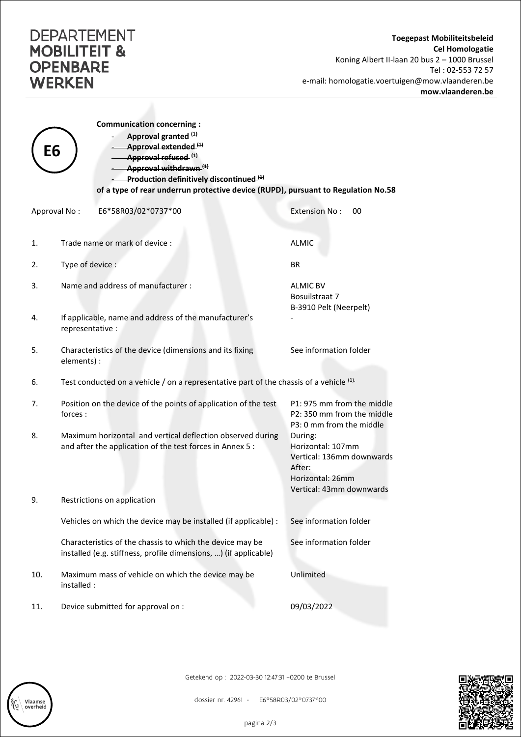## **DEPARTEMENT MOBILITEIT & OPENBARE WERKEN**

Vlaamse<br>overheid

|              | <b>Communication concerning:</b><br>Approval granted (1)                                                                                              |                                                                                                                     |  |  |  |
|--------------|-------------------------------------------------------------------------------------------------------------------------------------------------------|---------------------------------------------------------------------------------------------------------------------|--|--|--|
| Е6           | Approval extended (1)<br>Approval refused <sup>(1)</sup><br>Approval withdrawn <sup>(1)</sup><br>Production definitively discontinued. <sup>(4)</sup> |                                                                                                                     |  |  |  |
|              | of a type of rear underrun protective device (RUPD), pursuant to Regulation No.58                                                                     |                                                                                                                     |  |  |  |
| Approval No: | E6*58R03/02*0737*00                                                                                                                                   | <b>Extension No:</b><br>00                                                                                          |  |  |  |
| 1.           | Trade name or mark of device:                                                                                                                         | <b>ALMIC</b>                                                                                                        |  |  |  |
| 2.           | Type of device :                                                                                                                                      | <b>BR</b>                                                                                                           |  |  |  |
| 3.           | Name and address of manufacturer:                                                                                                                     | <b>ALMIC BV</b><br>Bosuilstraat 7<br>B-3910 Pelt (Neerpelt)                                                         |  |  |  |
| 4.           | If applicable, name and address of the manufacturer's<br>representative :                                                                             |                                                                                                                     |  |  |  |
| 5.           | Characteristics of the device (dimensions and its fixing<br>elements) :                                                                               | See information folder                                                                                              |  |  |  |
| 6.           | Test conducted on a vehicle / on a representative part of the chassis of a vehicle $(1)$ .                                                            |                                                                                                                     |  |  |  |
| 7.           | Position on the device of the points of application of the test<br>forces:                                                                            | P1: 975 mm from the middle<br>P2: 350 mm from the middle<br>P3: 0 mm from the middle                                |  |  |  |
| 8.           | Maximum horizontal and vertical deflection observed during<br>and after the application of the test forces in Annex 5 :                               | During:<br>Horizontal: 107mm<br>Vertical: 136mm downwards<br>After:<br>Horizontal: 26mm<br>Vertical: 43mm downwards |  |  |  |
| 9.           | Restrictions on application                                                                                                                           |                                                                                                                     |  |  |  |
|              | Vehicles on which the device may be installed (if applicable) :                                                                                       | See information folder                                                                                              |  |  |  |
|              | Characteristics of the chassis to which the device may be<br>installed (e.g. stiffness, profile dimensions, ) (if applicable)                         | See information folder                                                                                              |  |  |  |
| 10.          | Maximum mass of vehicle on which the device may be<br>installed :                                                                                     | Unlimited                                                                                                           |  |  |  |
| 11.          | Device submitted for approval on :                                                                                                                    | 09/03/2022                                                                                                          |  |  |  |

Getekend op : 2022-03-30 12:47:31 +0200 te Brussel